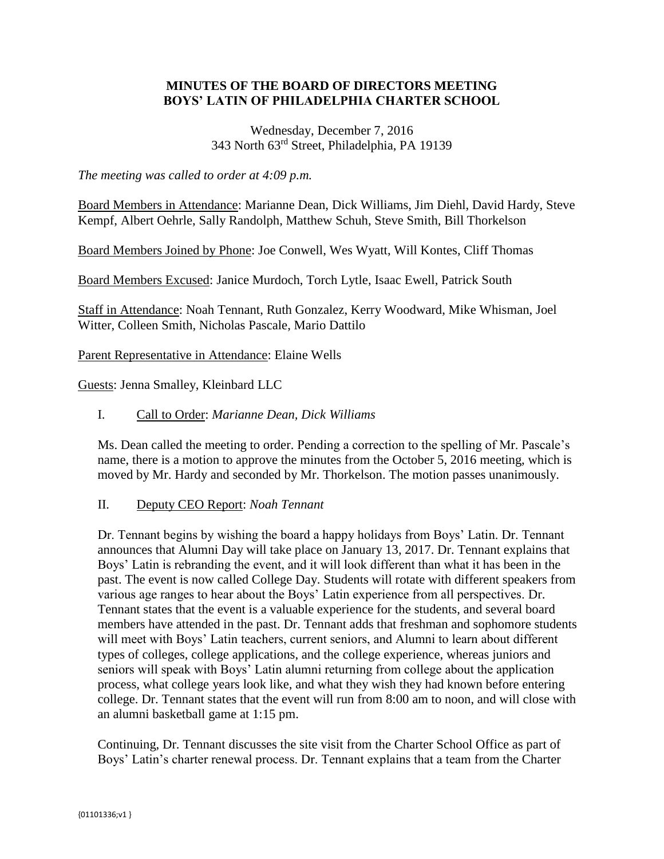# **MINUTES OF THE BOARD OF DIRECTORS MEETING BOYS' LATIN OF PHILADELPHIA CHARTER SCHOOL**

# Wednesday, December 7, 2016 343 North 63rd Street, Philadelphia, PA 19139

*The meeting was called to order at 4:09 p.m.*

Board Members in Attendance: Marianne Dean, Dick Williams, Jim Diehl, David Hardy, Steve Kempf, Albert Oehrle, Sally Randolph, Matthew Schuh, Steve Smith, Bill Thorkelson

Board Members Joined by Phone: Joe Conwell, Wes Wyatt, Will Kontes, Cliff Thomas

Board Members Excused: Janice Murdoch, Torch Lytle, Isaac Ewell, Patrick South

Staff in Attendance: Noah Tennant, Ruth Gonzalez, Kerry Woodward, Mike Whisman, Joel Witter, Colleen Smith, Nicholas Pascale, Mario Dattilo

Parent Representative in Attendance: Elaine Wells

Guests: Jenna Smalley, Kleinbard LLC

#### I. Call to Order: *Marianne Dean, Dick Williams*

Ms. Dean called the meeting to order. Pending a correction to the spelling of Mr. Pascale's name, there is a motion to approve the minutes from the October 5, 2016 meeting, which is moved by Mr. Hardy and seconded by Mr. Thorkelson. The motion passes unanimously.

## II. Deputy CEO Report: *Noah Tennant*

Dr. Tennant begins by wishing the board a happy holidays from Boys' Latin. Dr. Tennant announces that Alumni Day will take place on January 13, 2017. Dr. Tennant explains that Boys' Latin is rebranding the event, and it will look different than what it has been in the past. The event is now called College Day. Students will rotate with different speakers from various age ranges to hear about the Boys' Latin experience from all perspectives. Dr. Tennant states that the event is a valuable experience for the students, and several board members have attended in the past. Dr. Tennant adds that freshman and sophomore students will meet with Boys' Latin teachers, current seniors, and Alumni to learn about different types of colleges, college applications, and the college experience, whereas juniors and seniors will speak with Boys' Latin alumni returning from college about the application process, what college years look like, and what they wish they had known before entering college. Dr. Tennant states that the event will run from 8:00 am to noon, and will close with an alumni basketball game at 1:15 pm.

Continuing, Dr. Tennant discusses the site visit from the Charter School Office as part of Boys' Latin's charter renewal process. Dr. Tennant explains that a team from the Charter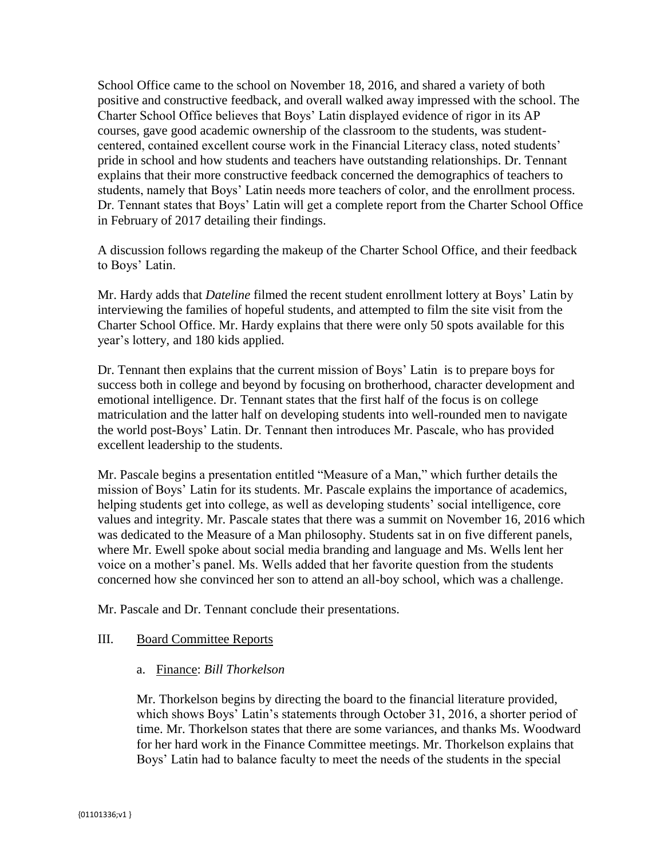School Office came to the school on November 18, 2016, and shared a variety of both positive and constructive feedback, and overall walked away impressed with the school. The Charter School Office believes that Boys' Latin displayed evidence of rigor in its AP courses, gave good academic ownership of the classroom to the students, was studentcentered, contained excellent course work in the Financial Literacy class, noted students' pride in school and how students and teachers have outstanding relationships. Dr. Tennant explains that their more constructive feedback concerned the demographics of teachers to students, namely that Boys' Latin needs more teachers of color, and the enrollment process. Dr. Tennant states that Boys' Latin will get a complete report from the Charter School Office in February of 2017 detailing their findings.

A discussion follows regarding the makeup of the Charter School Office, and their feedback to Boys' Latin.

Mr. Hardy adds that *Dateline* filmed the recent student enrollment lottery at Boys' Latin by interviewing the families of hopeful students, and attempted to film the site visit from the Charter School Office. Mr. Hardy explains that there were only 50 spots available for this year's lottery, and 180 kids applied.

Dr. Tennant then explains that the current mission of Boys' Latin is to prepare boys for success both in college and beyond by focusing on brotherhood, character development and emotional intelligence. Dr. Tennant states that the first half of the focus is on college matriculation and the latter half on developing students into well-rounded men to navigate the world post-Boys' Latin. Dr. Tennant then introduces Mr. Pascale, who has provided excellent leadership to the students.

Mr. Pascale begins a presentation entitled "Measure of a Man," which further details the mission of Boys' Latin for its students. Mr. Pascale explains the importance of academics, helping students get into college, as well as developing students' social intelligence, core values and integrity. Mr. Pascale states that there was a summit on November 16, 2016 which was dedicated to the Measure of a Man philosophy. Students sat in on five different panels, where Mr. Ewell spoke about social media branding and language and Ms. Wells lent her voice on a mother's panel. Ms. Wells added that her favorite question from the students concerned how she convinced her son to attend an all-boy school, which was a challenge.

Mr. Pascale and Dr. Tennant conclude their presentations.

## III. Board Committee Reports

## a. Finance: *Bill Thorkelson*

Mr. Thorkelson begins by directing the board to the financial literature provided, which shows Boys' Latin's statements through October 31, 2016, a shorter period of time. Mr. Thorkelson states that there are some variances, and thanks Ms. Woodward for her hard work in the Finance Committee meetings. Mr. Thorkelson explains that Boys' Latin had to balance faculty to meet the needs of the students in the special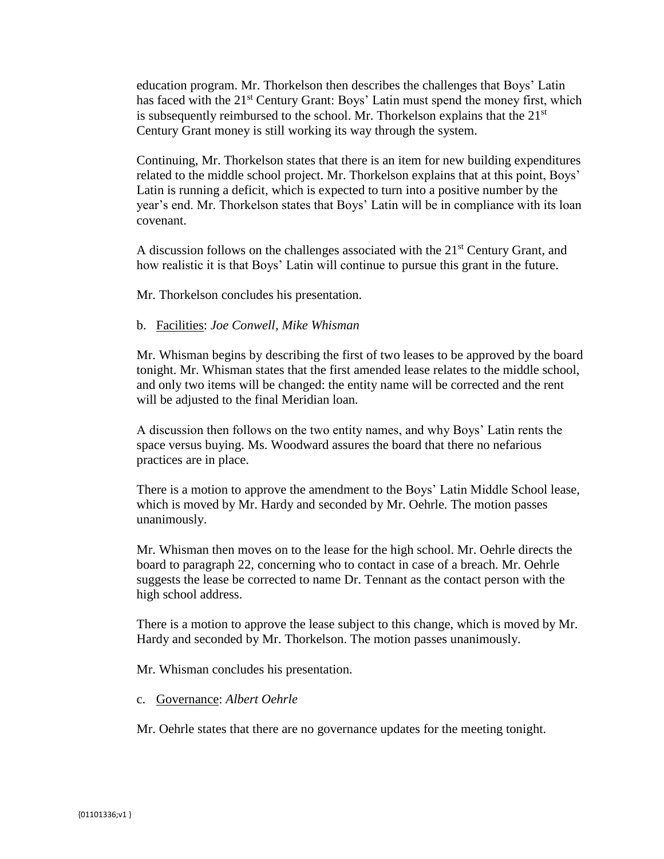education program. Mr. Thorkelson then describes the challenges that Boys' Latin has faced with the 21<sup>st</sup> Century Grant: Boys' Latin must spend the money first, which is subsequently reimbursed to the school. Mr. Thorkelson explains that the  $21<sup>st</sup>$ Century Grant money is still working its way through the system.

Continuing, Mr. Thorkelson states that there is an item for new building expenditures related to the middle school project. Mr. Thorkelson explains that at this point, Boys' Latin is running a deficit, which is expected to turn into a positive number by the year's end. Mr. Thorkelson states that Boys' Latin will be in compliance with its loan covenant.

A discussion follows on the challenges associated with the  $21<sup>st</sup>$  Century Grant, and how realistic it is that Boys' Latin will continue to pursue this grant in the future.

Mr. Thorkelson concludes his presentation.

#### b. Facilities: *Joe Conwell, Mike Whisman*

Mr. Whisman begins by describing the first of two leases to be approved by the board tonight. Mr. Whisman states that the first amended lease relates to the middle school, and only two items will be changed: the entity name will be corrected and the rent will be adjusted to the final Meridian loan.

A discussion then follows on the two entity names, and why Boys' Latin rents the space versus buying. Ms. Woodward assures the board that there no nefarious practices are in place.

There is a motion to approve the amendment to the Boys' Latin Middle School lease, which is moved by Mr. Hardy and seconded by Mr. Oehrle. The motion passes unanimously.

Mr. Whisman then moves on to the lease for the high school. Mr. Oehrle directs the board to paragraph 22, concerning who to contact in case of a breach. Mr. Oehrle suggests the lease be corrected to name Dr. Tennant as the contact person with the high school address.

There is a motion to approve the lease subject to this change, which is moved by Mr. Hardy and seconded by Mr. Thorkelson. The motion passes unanimously.

Mr. Whisman concludes his presentation.

c. Governance: *Albert Oehrle*

Mr. Oehrle states that there are no governance updates for the meeting tonight.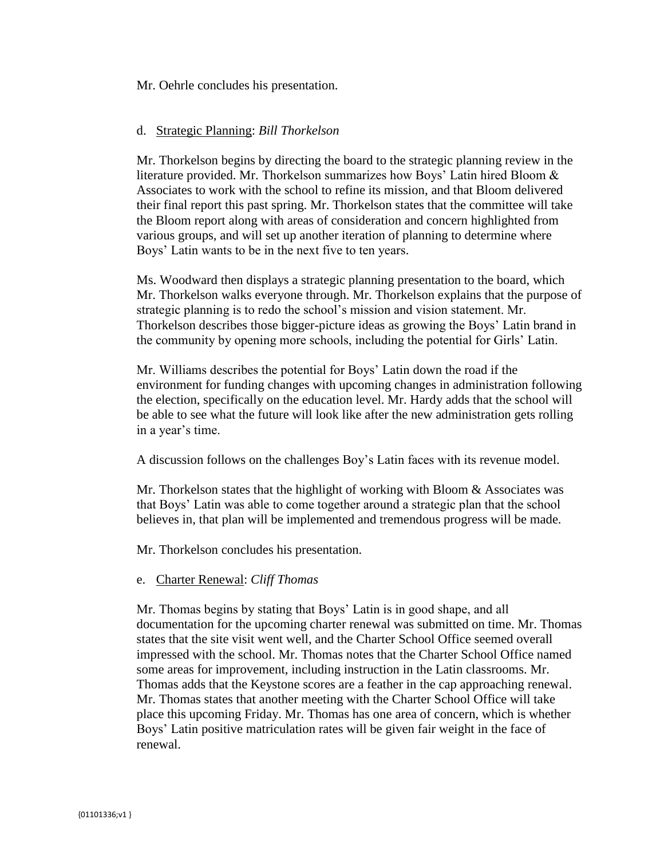Mr. Oehrle concludes his presentation.

#### d. Strategic Planning: *Bill Thorkelson*

Mr. Thorkelson begins by directing the board to the strategic planning review in the literature provided. Mr. Thorkelson summarizes how Boys' Latin hired Bloom & Associates to work with the school to refine its mission, and that Bloom delivered their final report this past spring. Mr. Thorkelson states that the committee will take the Bloom report along with areas of consideration and concern highlighted from various groups, and will set up another iteration of planning to determine where Boys' Latin wants to be in the next five to ten years.

Ms. Woodward then displays a strategic planning presentation to the board, which Mr. Thorkelson walks everyone through. Mr. Thorkelson explains that the purpose of strategic planning is to redo the school's mission and vision statement. Mr. Thorkelson describes those bigger-picture ideas as growing the Boys' Latin brand in the community by opening more schools, including the potential for Girls' Latin.

Mr. Williams describes the potential for Boys' Latin down the road if the environment for funding changes with upcoming changes in administration following the election, specifically on the education level. Mr. Hardy adds that the school will be able to see what the future will look like after the new administration gets rolling in a year's time.

A discussion follows on the challenges Boy's Latin faces with its revenue model.

Mr. Thorkelson states that the highlight of working with Bloom  $\&$  Associates was that Boys' Latin was able to come together around a strategic plan that the school believes in, that plan will be implemented and tremendous progress will be made.

Mr. Thorkelson concludes his presentation.

## e. Charter Renewal: *Cliff Thomas*

Mr. Thomas begins by stating that Boys' Latin is in good shape, and all documentation for the upcoming charter renewal was submitted on time. Mr. Thomas states that the site visit went well, and the Charter School Office seemed overall impressed with the school. Mr. Thomas notes that the Charter School Office named some areas for improvement, including instruction in the Latin classrooms. Mr. Thomas adds that the Keystone scores are a feather in the cap approaching renewal. Mr. Thomas states that another meeting with the Charter School Office will take place this upcoming Friday. Mr. Thomas has one area of concern, which is whether Boys' Latin positive matriculation rates will be given fair weight in the face of renewal.